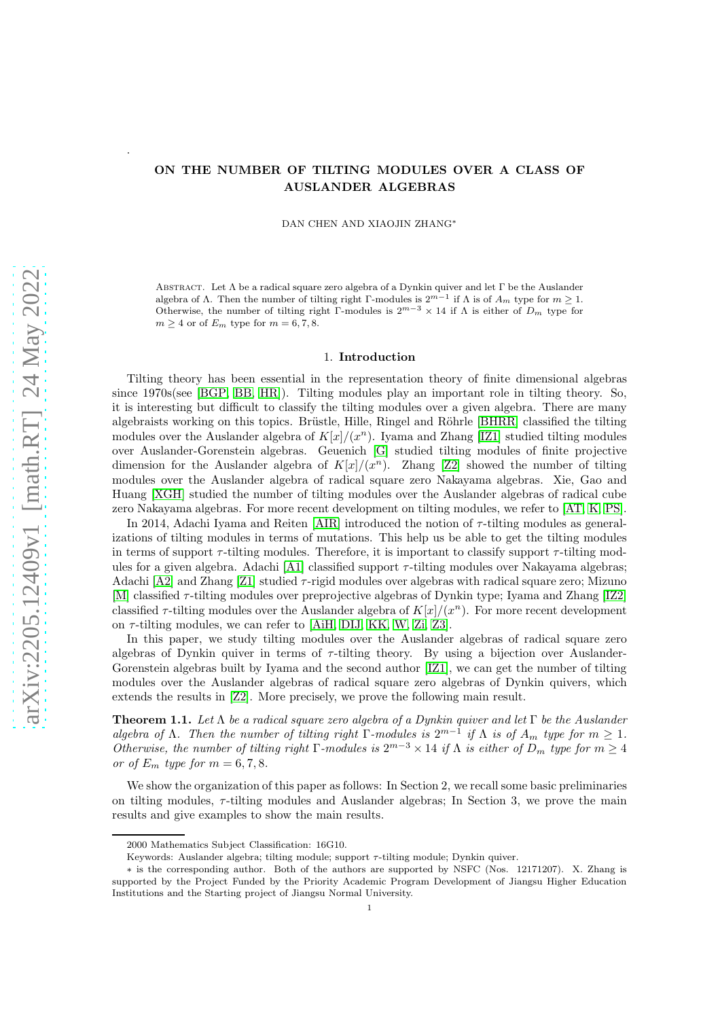# ON THE NUMBER OF TILTING MODULES OVER A CLASS OF AUSLANDER ALGEBRAS

DAN CHEN AND XIAOJIN ZHANG<sup>∗</sup>

ABSTRACT. Let  $\Lambda$  be a radical square zero algebra of a Dynkin quiver and let  $\Gamma$  be the Auslander algebra of  $\Lambda$ . Then the number of tilting right Γ-modules is  $2^{m-1}$  if  $\Lambda$  is of  $A_m$  type for  $m \geq 1$ . Otherwise, the number of tilting right Γ-modules is  $2^{m-3} \times 14$  if  $\Lambda$  is either of  $D_m$  type for  $m \geq 4$  or of  $E_m$  type for  $m = 6, 7, 8$ .

### 1. Introduction

Tilting theory has been essential in the representation theory of finite dimensional algebras since 1970s(see [\[BGP,](#page-8-0) [BB,](#page-8-1) [HR\]](#page-8-2)). Tilting modules play an important role in tilting theory. So, it is interesting but difficult to classify the tilting modules over a given algebra. There are many algebraists working on this topics. Brüstle, Hille, Ringel and Röhrle [\[BHRR\]](#page-8-3) classified the tilting modules over the Auslander algebra of  $K[x]/(x^n)$ . Iyama and Zhang [\[IZ1\]](#page-8-4) studied tilting modules over Auslander-Gorenstein algebras. Geuenich [\[G\]](#page-8-5) studied tilting modules of finite projective dimension for the Auslander algebra of  $K[x]/(x^n)$ . Zhang [\[Z2\]](#page-9-0) showed the number of tilting modules over the Auslander algebra of radical square zero Nakayama algebras. Xie, Gao and Huang [\[XGH\]](#page-9-1) studied the number of tilting modules over the Auslander algebras of radical cube zero Nakayama algebras. For more recent development on tilting modules, we refer to [\[AT,](#page-8-6) [K,](#page-9-2) [PS\]](#page-9-3).

In 2014, Adachi Iyama and Reiten [\[AIR\]](#page-8-7) introduced the notion of  $\tau$ -tilting modules as generalizations of tilting modules in terms of mutations. This help us be able to get the tilting modules in terms of support  $\tau$ -tilting modules. Therefore, it is important to classify support  $\tau$ -tilting mod-ules for a given algebra. Adachi [\[A1\]](#page-8-8) classified support  $\tau$ -tilting modules over Nakayama algebras; Adachi  $[A2]$  and Zhang [\[Z1\]](#page-9-4) studied  $\tau$ -rigid modules over algebras with radical square zero; Mizuno [\[M\]](#page-9-5) classified τ-tilting modules over preprojective algebras of Dynkin type; Iyama and Zhang [\[IZ2\]](#page-8-10) classified  $\tau$ -tilting modules over the Auslander algebra of  $K[x]/(x^n)$ . For more recent development on  $\tau$ -tilting modules, we can refer to [\[AiH,](#page-8-11) [DIJ,](#page-8-12) [KK,](#page-9-6) [W,](#page-9-7) [Zi,](#page-9-8) [Z3\]](#page-9-9).

In this paper, we study tilting modules over the Auslander algebras of radical square zero algebras of Dynkin quiver in terms of  $\tau$ -tilting theory. By using a bijection over Auslander-Gorenstein algebras built by Iyama and the second author [\[IZ1\]](#page-8-4), we can get the number of tilting modules over the Auslander algebras of radical square zero algebras of Dynkin quivers, which extends the results in [\[Z2\]](#page-9-0). More precisely, we prove the following main result.

Theorem 1.1. *Let* Λ *be a radical square zero algebra of a Dynkin quiver and let* Γ *be the Auslander algebra of*  $\Lambda$ *. Then the number of tilting right*  $\Gamma$ *-modules is*  $2^{m-1}$  *if*  $\Lambda$  *is of*  $A_m$  *type for*  $m \geq 1$ *. Otherwise, the number of tilting right*  $\Gamma$ -modules is  $2^{m-3} \times 14$  *if*  $\Lambda$  *is either of*  $D_m$  *type for*  $m \geq 4$ *or of*  $E_m$  *type for*  $m = 6, 7, 8$ *.* 

We show the organization of this paper as follows: In Section 2, we recall some basic preliminaries on tilting modules,  $\tau$ -tilting modules and Auslander algebras; In Section 3, we prove the main results and give examples to show the main results.

.

<sup>2000</sup> Mathematics Subject Classification: 16G10.

Keywords: Auslander algebra; tilting module; support  $\tau$ -tilting module; Dynkin quiver.

<sup>∗</sup> is the corresponding author. Both of the authors are supported by NSFC (Nos. 12171207). X. Zhang is supported by the Project Funded by the Priority Academic Program Development of Jiangsu Higher Education Institutions and the Starting project of Jiangsu Normal University.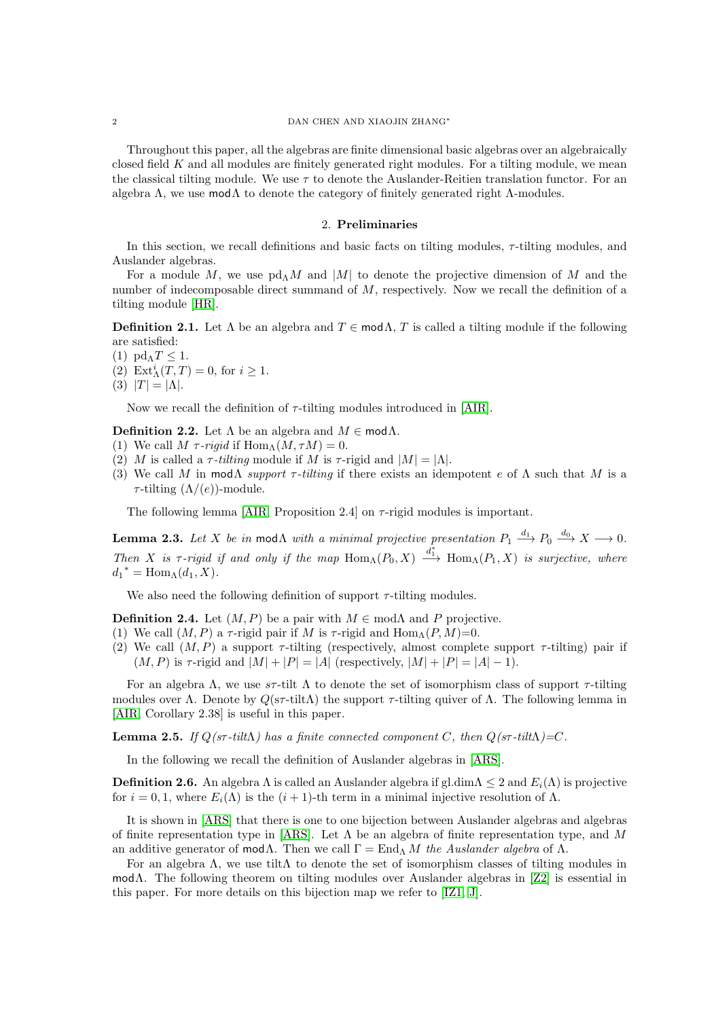### 2 DAN CHEN AND XIAOJIN ZHANG<sup>∗</sup>

Throughout this paper, all the algebras are finite dimensional basic algebras over an algebraically closed field  $K$  and all modules are finitely generated right modules. For a tilting module, we mean the classical tilting module. We use  $\tau$  to denote the Auslander-Reitien translation functor. For an algebra  $\Lambda$ , we use mod $\Lambda$  to denote the category of finitely generated right  $\Lambda$ -modules.

### 2. Preliminaries

In this section, we recall definitions and basic facts on tilting modules,  $\tau$ -tilting modules, and Auslander algebras.

For a module M, we use  $\text{pd}_{\Lambda}M$  and  $|M|$  to denote the projective dimension of M and the number of indecomposable direct summand of  $M$ , respectively. Now we recall the definition of a tilting module [\[HR\]](#page-8-2).

**Definition 2.1.** Let  $\Lambda$  be an algebra and  $T \in \text{mod }\Lambda$ , T is called a tilting module if the following are satisfied:

- (1)  $pd_{\Lambda}T \leq 1$ .
- (2)  $\mathrm{Ext}^i_{\Lambda}(T,T) = 0$ , for  $i \geq 1$ .
- (3)  $|T| = |\Lambda|$ .

Now we recall the definition of  $\tau$ -tilting modules introduced in [\[AIR\]](#page-8-7).

**Definition 2.2.** Let  $\Lambda$  be an algebra and  $M \in \mathsf{mod}\Lambda$ .

- (1) We call  $M \tau$ *-rigid* if  $\text{Hom}_{\Lambda}(M, \tau M) = 0$ .
- (2) M is called a  $\tau$ -tilting module if M is  $\tau$ -rigid and  $|M| = |\Lambda|$ .
- (3) We call M in mod $\Lambda$  *support*  $\tau$ -tilting if there exists an idempotent e of  $\Lambda$  such that M is a  $\tau$ -tilting  $(\Lambda/(e))$ -module.

The following lemma [\[AIR,](#page-8-7) Proposition 2.4] on  $\tau$ -rigid modules is important.

<span id="page-1-0"></span>**Lemma 2.3.** Let X be in mod $\Lambda$  with a minimal projective presentation  $P_1 \stackrel{d_1}{\longrightarrow} P_0 \stackrel{d_0}{\longrightarrow} X \longrightarrow 0$ . *Then* X is  $\tau$ -rigid if and only if the map  $\text{Hom}_{\Lambda}(P_0, X) \xrightarrow{d^*_{1}} \text{Hom}_{\Lambda}(P_1, X)$  is surjective, where  $d_1^* = \text{Hom}_{\Lambda}(d_1, X).$ 

We also need the following definition of support  $\tau$ -tilting modules.

**Definition 2.4.** Let  $(M, P)$  be a pair with  $M \in \text{mod}\Lambda$  and P projective.

- (1) We call  $(M, P)$  a  $\tau$ -rigid pair if M is  $\tau$ -rigid and  $\text{Hom}_{\Lambda}(P, M)=0$ .
- (2) We call  $(M, P)$  a support  $\tau$ -tilting (respectively, almost complete support  $\tau$ -tilting) pair if  $(M, P)$  is  $\tau$ -rigid and  $|M| + |P| = |A|$  (respectively,  $|M| + |P| = |A| - 1$ ).

For an algebra Λ, we use  $s\tau$ -tilt Λ to denote the set of isomorphism class of support  $\tau$ -tilting modules over Λ. Denote by  $Q(s\tau\text{-tilt})$  the support  $\tau\text{-tilting}$  quiver of Λ. The following lemma in [\[AIR,](#page-8-7) Corollary 2.38] is useful in this paper.

<span id="page-1-1"></span>**Lemma 2.5.** *If*  $O(\textit{sf-tilt}\Lambda)$  has a finite connected component C, then  $O(\textit{sf-tilt}\Lambda) = C$ .

In the following we recall the definition of Auslander algebras in [\[ARS\]](#page-8-13).

**Definition 2.6.** An algebra  $\Lambda$  is called an Auslander algebra if gl.dim $\Lambda \leq 2$  and  $E_i(\Lambda)$  is projective for  $i = 0, 1$ , where  $E_i(\Lambda)$  is the  $(i + 1)$ -th term in a minimal injective resolution of  $\Lambda$ .

It is shown in [\[ARS\]](#page-8-13) that there is one to one bijection between Auslander algebras and algebras of finite representation type in [\[ARS\]](#page-8-13). Let  $\Lambda$  be an algebra of finite representation type, and M an additive generator of mod $\Lambda$ . Then we call  $\Gamma = \text{End}_{\Lambda} M$  the Auslander algebra of  $\Lambda$ .

For an algebra  $\Lambda$ , we use tilt $\Lambda$  to denote the set of isomorphism classes of tilting modules in modΛ. The following theorem on tilting modules over Auslander algebras in [\[Z2\]](#page-9-0) is essential in this paper. For more details on this bijection map we refer to [\[IZ1,](#page-8-4) [J\]](#page-8-14).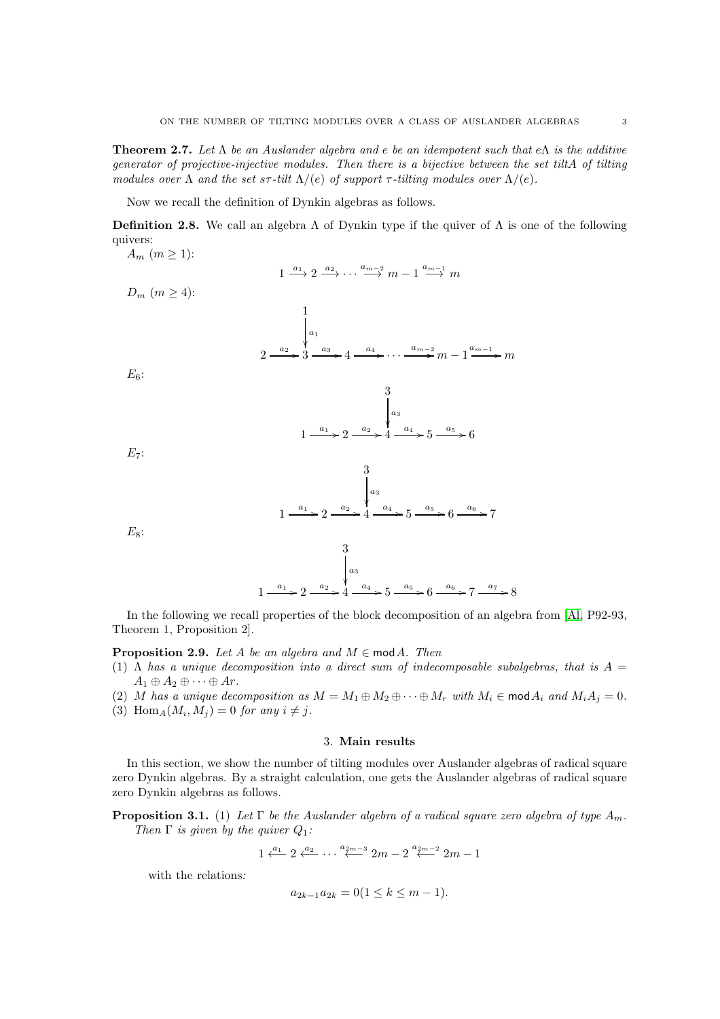<span id="page-2-1"></span>Theorem 2.7. *Let* Λ *be an Auslander algebra and* e *be an idempotent such that* eΛ *is the additive generator of projective-injective modules. Then there is a bijective between the set tilt*A *of tilting modules over*  $\Lambda$  *and the set s* $\tau$ *-tilt*  $\Lambda$ /(e) *of support*  $\tau$ *-tilting modules over*  $\Lambda$ /(e)*.* 

Now we recall the definition of Dynkin algebras as follows.

**Definition 2.8.** We call an algebra  $\Lambda$  of Dynkin type if the quiver of  $\Lambda$  is one of the following quivers:

 $A_m$   $(m \geq 1)$ :  $1 \xrightarrow{a_1} 2 \xrightarrow{a_2} \cdots \xrightarrow{a_{m-2}} m-1 \xrightarrow{a_{m-1}} m$  $D_m$   $(m \geq 4)$ : 1  $a_1$ ŗ 2  $\xrightarrow{a_2} 3$  $\xrightarrow{a_3} 4$  $\stackrel{a_4}{\longrightarrow} \cdots \stackrel{a_{m-2}}{\longrightarrow} m-1$  $\frac{a_{m-1}}{m}$  *m*  $E_6$ : 3  $a_3$ l<br>1 1  $\longrightarrow^{\,a_1\,} 2$  $\xrightarrow{a_2} 4$  $\xrightarrow{a_4} 5$  $\xrightarrow{a_5} 6$  $E_7$ : 3  $a_3$ ļ 1  $\longrightarrow^{\,a_1\,} 2$  $\xrightarrow{a_2} 4$  $\overset{a_4}{\longrightarrow} 5$  $\xrightarrow{a_5} 6$  $\xrightarrow{a_6} 7$  $E_8$ : 3  $a_3$ l, 1  $\longrightarrow^{\,a_1\,} 2$  $\xrightarrow{a_2} 4$  $\xrightarrow{a_4} 5$  $\xrightarrow{a_5} 6$  $\xrightarrow{a_6} 7$  $\longrightarrow^{\alpha_7} 8$ 

In the following we recall properties of the block decomposition of an algebra from [\[Al,](#page-8-15) P92-93, Theorem 1, Proposition 2].

## <span id="page-2-0"></span>**Proposition 2.9.** *Let*  $A$  *be an algebra and*  $M \in \text{mod } A$ *. Then*

- (1)  $\Lambda$  *has a unique decomposition into a direct sum of indecomposable subalgebras, that is*  $A =$  $A_1 \oplus A_2 \oplus \cdots \oplus Ar.$
- (2) M has a unique decomposition as  $M = M_1 \oplus M_2 \oplus \cdots \oplus M_r$  with  $M_i \in \text{mod } A_i$  and  $M_i A_j = 0$ .
- (3) Hom<sub>A</sub> $(M_i, M_j) = 0$  for any  $i \neq j$ .

### 3. Main results

In this section, we show the number of tilting modules over Auslander algebras of radical square zero Dynkin algebras. By a straight calculation, one gets the Auslander algebras of radical square zero Dynkin algebras as follows.

**Proposition 3.1.** (1) Let  $\Gamma$  be the Auslander algebra of a radical square zero algebra of type  $A_m$ . *Then* Γ *is given by the quiver* Q1*:*

$$
1 \xleftarrow{a_1} 2 \xleftarrow{a_2} \cdots \xleftarrow{a_{2m-3}} 2m - 2 \xleftarrow{a_{2m-2}} 2m - 1
$$

with the relations*:*

$$
a_{2k-1}a_{2k} = 0(1 \le k \le m-1).
$$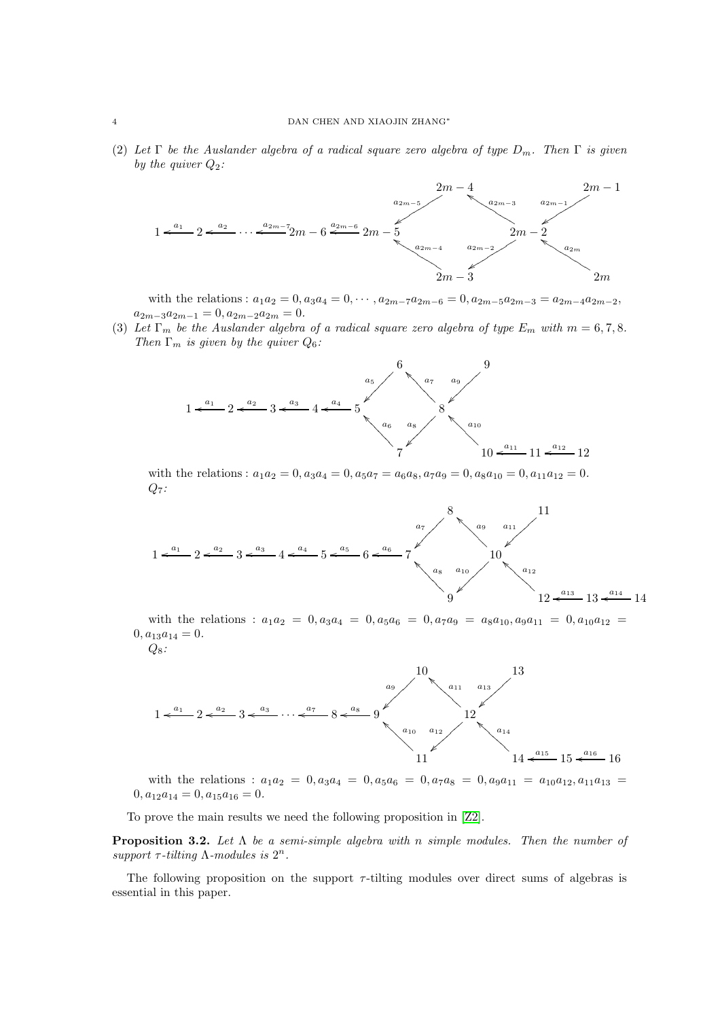(2) *Let* Γ *be the Auslander algebra of a radical square zero algebra of type* Dm*. Then* Γ *is given by the quiver*  $Q_2$ *:* 



with the relations :  $a_1a_2 = 0, a_3a_4 = 0, \cdots, a_{2m-7}a_{2m-6} = 0, a_{2m-5}a_{2m-3} = a_{2m-4}a_{2m-2}$ ,  $a_{2m-3}a_{2m-1} = 0, a_{2m-2}a_{2m} = 0.$ 

(3) Let  $\Gamma_m$  be the Auslander algebra of a radical square zero algebra of type  $E_m$  with  $m = 6, 7, 8$ . *Then*  $\Gamma_m$  *is given by the quiver*  $Q_6$ *:* 



with the relations :  $a_1a_2 = 0$ ,  $a_3a_4 = 0$ ,  $a_5a_7 = a_6a_8$ ,  $a_7a_9 = 0$ ,  $a_8a_{10} = 0$ ,  $a_{11}a_{12} = 0$ . Q7*:*

$$
1 \leftarrow a_1
$$
\n
$$
2 \leftarrow a_2
$$
\n
$$
3 \leftarrow a_3
$$
\n
$$
4 \leftarrow a_4
$$
\n
$$
5 \leftarrow a_5
$$
\n
$$
6 \leftarrow a_6
$$
\n
$$
7
$$
\n
$$
a_8
$$
\n
$$
a_{10}
$$
\n
$$
a_{12}
$$
\n
$$
a_{13}
$$
\n
$$
a_{14}
$$
\n
$$
11
$$
\n
$$
a_{12}
$$
\n
$$
a_{13}
$$
\n
$$
a_{14}
$$
\n
$$
12 \leftarrow a_{13}
$$
\n
$$
a_{14}
$$
\n
$$
14
$$

with the relations :  $a_1a_2 = 0, a_3a_4 = 0, a_5a_6 = 0, a_7a_9 = a_8a_{10}, a_9a_{11} = 0, a_{10}a_{12} = 0$  $0, a_{13}a_{14} = 0.$ 

Q8*:*



with the relations :  $a_1a_2 = 0, a_3a_4 = 0, a_5a_6 = 0, a_7a_8 = 0, a_9a_{11} = a_{10}a_{12}, a_{11}a_{13} =$  $0, a_{12}a_{14} = 0, a_{15}a_{16} = 0.$ 

To prove the main results we need the following proposition in [\[Z2\]](#page-9-0).

<span id="page-3-0"></span>Proposition 3.2. *Let* Λ *be a semi-simple algebra with* n *simple modules. Then the number of* support  $\tau$ -tilting  $\Lambda$ -modules is  $2^n$ .

The following proposition on the support  $\tau$ -tilting modules over direct sums of algebras is essential in this paper.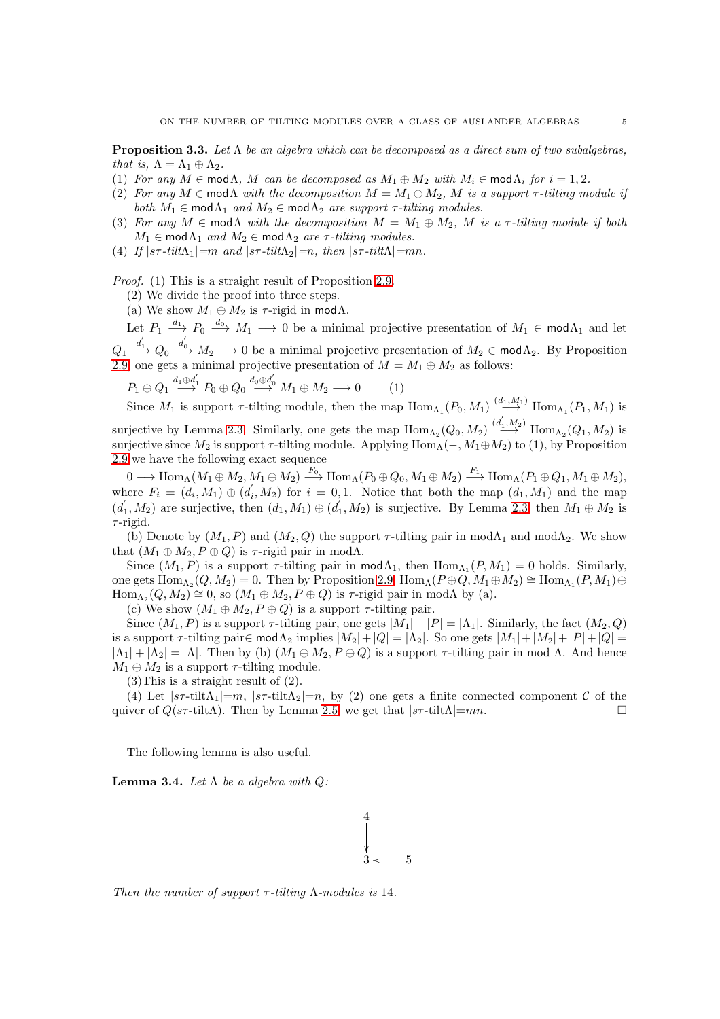<span id="page-4-1"></span>Proposition 3.3. *Let* Λ *be an algebra which can be decomposed as a direct sum of two subalgebras, that is,*  $\Lambda = \Lambda_1 \oplus \Lambda_2$ *.* 

- (1) *For any*  $M \in \text{mod }\Lambda$ ,  $M$  *can be decomposed as*  $M_1 \oplus M_2$  *with*  $M_i \in \text{mod }\Lambda$  *for*  $i = 1, 2$ *.*
- (2) *For any*  $M \in \text{mod }\Lambda$  *with the decomposition*  $M = M_1 \oplus M_2$ , M *is a support*  $\tau$ -tilting module if *both*  $M_1 \in \text{mod } \Lambda_1$  *and*  $M_2 \in \text{mod } \Lambda_2$  *are support*  $\tau$ *-tilting modules.*
- (3) For any  $M \in \text{mod}\Lambda$  with the decomposition  $M = M_1 \oplus M_2$ , M is a  $\tau$ -tilting module if both  $M_1 \in \text{mod } \Lambda_1$  *and*  $M_2 \in \text{mod } \Lambda_2$  *are*  $\tau$ *-tilting modules.*
- (4) *If*  $|s\tau \text{tilt} \lambda_1| = m$  *and*  $|s\tau \text{tilt} \lambda_2| = n$ , *then*  $|s\tau \text{tilt} \lambda| = mn$ .

*Proof.* (1) This is a straight result of Proposition [2.9.](#page-2-0)

(2) We divide the proof into three steps.

[2.9](#page-2-0) we have the following exact sequence

(a) We show  $M_1 \oplus M_2$  is  $\tau$ -rigid in mod $\Lambda$ .

Let  $P_1 \xrightarrow{d_1} P_0 \xrightarrow{d_0} M_1 \longrightarrow 0$  be a minimal projective presentation of  $M_1 \in \text{mod } \Lambda_1$  and let  $Q_1 \stackrel{d_1}{\longrightarrow} Q_0 \stackrel{d_0}{\longrightarrow} M_2 \longrightarrow 0$  be a minimal projective presentation of  $M_2 \in \text{mod}\Lambda_2$ . By Proposition

[2.9,](#page-2-0) one gets a minimal projective presentation of  $M = M_1 \oplus M_2$  as follows: ′ ′

$$
P_1 \oplus Q_1 \stackrel{d_1 \oplus d_1'}{\longrightarrow} P_0 \oplus Q_0 \stackrel{d_0 \oplus d_0'}{\longrightarrow} M_1 \oplus M_2 \longrightarrow 0 \tag{1}
$$

Since  $M_1$  is support  $\tau$ -tilting module, then the map  $\text{Hom}_{\Lambda_1}(P_0, M_1) \xrightarrow{(d_1, M_1)} \text{Hom}_{\Lambda_1}(P_1, M_1)$  is surjective by Lemma [2.3.](#page-1-0) Similarly, one gets the map  $\text{Hom}_{\Lambda_2}(Q_0, M_2) \stackrel{(d_1, M_2)}{\longrightarrow} \text{Hom}_{\Lambda_2}(Q_1, M_2)$  is surjective since  $M_2$  is support  $\tau$ -tilting module. Applying  $\text{Hom}_{\Lambda}(-, M_1 \oplus M_2)$  to (1), by Proposition

 $0 \longrightarrow {\rm Hom}_{\Lambda}(M_{1}\oplus M_{2},M_{1}\oplus M_{2}) \stackrel{F_{0}}{\longrightarrow} {\rm Hom}_{\Lambda}(P_{0}\oplus Q_{0},M_{1}\oplus M_{2}) \stackrel{F_{1}}{\longrightarrow} {\rm Hom}_{\Lambda}(P_{1}\oplus Q_{1},M_{1}\oplus M_{2}),$ where  $F_i = (d_i, M_1) \oplus (d_i)$  $(i, M_2)$  for  $i = 0, 1$ . Notice that both the map  $(d_1, M_1)$  and the map  $(d_1)$  $\overline{d}_1, M_2$ ) are surjective, then  $(d_1, M_1) \oplus (d_1)$  $(N_1, M_2)$  is surjective. By Lemma [2.3,](#page-1-0) then  $M_1 \oplus M_2$  is  $\tau$ -rigid.

(b) Denote by  $(M_1, P)$  and  $(M_2, Q)$  the support  $\tau$ -tilting pair in mod $\Lambda_1$  and mod $\Lambda_2$ . We show that  $(M_1 \oplus M_2, P \oplus Q)$  is  $\tau$ -rigid pair in mod $\Lambda$ .

Since  $(M_1, P)$  is a support  $\tau$ -tilting pair in  $\text{mod } \Lambda_1$ , then  $\text{Hom}_{\Lambda_1}(P, M_1) = 0$  holds. Similarly, one gets  $\text{Hom}_{\Lambda_2}(Q, M_2) = 0$ . Then by Proposition [2.9,](#page-2-0)  $\text{Hom}_{\Lambda_1}(P \oplus Q, M_1 \oplus M_2) \cong \text{Hom}_{\Lambda_1}(P, M_1) \oplus$  $\text{Hom}_{\Lambda_2}(Q, M_2) \cong 0$ , so  $(M_1 \oplus M_2, P \oplus Q)$  is  $\tau$ -rigid pair in mod $\Lambda$  by (a).

(c) We show  $(M_1 \oplus M_2, P \oplus Q)$  is a support  $\tau$ -tilting pair.

Since  $(M_1, P)$  is a support  $\tau$ -tilting pair, one gets  $|M_1| + |P| = |\Lambda_1|$ . Similarly, the fact  $(M_2, Q)$ is a support  $\tau$ -tilting pair∈ mod $\Lambda_2$  implies  $|M_2| + |Q| = |\Lambda_2|$ . So one gets  $|M_1| + |M_2| + |P| + |Q| =$  $|\Lambda_1| + |\Lambda_2| = |\Lambda|$ . Then by (b)  $(M_1 \oplus M_2, P \oplus Q)$  is a support  $\tau$ -tilting pair in mod  $\Lambda$ . And hence  $M_1 \oplus M_2$  is a support  $\tau$ -tilting module.

(3)This is a straight result of (2).

(4) Let  $|s\tau\text{-tilt}|\Lambda_1|=m$ ,  $|s\tau\text{-tilt}|\Lambda_2|=n$ , by (2) one gets a finite connected component C of the quiver of  $Q(s\tau\text{-tilt})$ . Then by Lemma [2.5,](#page-1-1) we get that  $|s\tau\text{-tilt}|\Lambda|=mn$ .

The following lemma is also useful.

<span id="page-4-0"></span>**Lemma 3.4.** *Let*  $\Lambda$  *be a algebra with*  $Q$ :



*Then the number of support* τ*-tilting* Λ*-modules is* 14*.*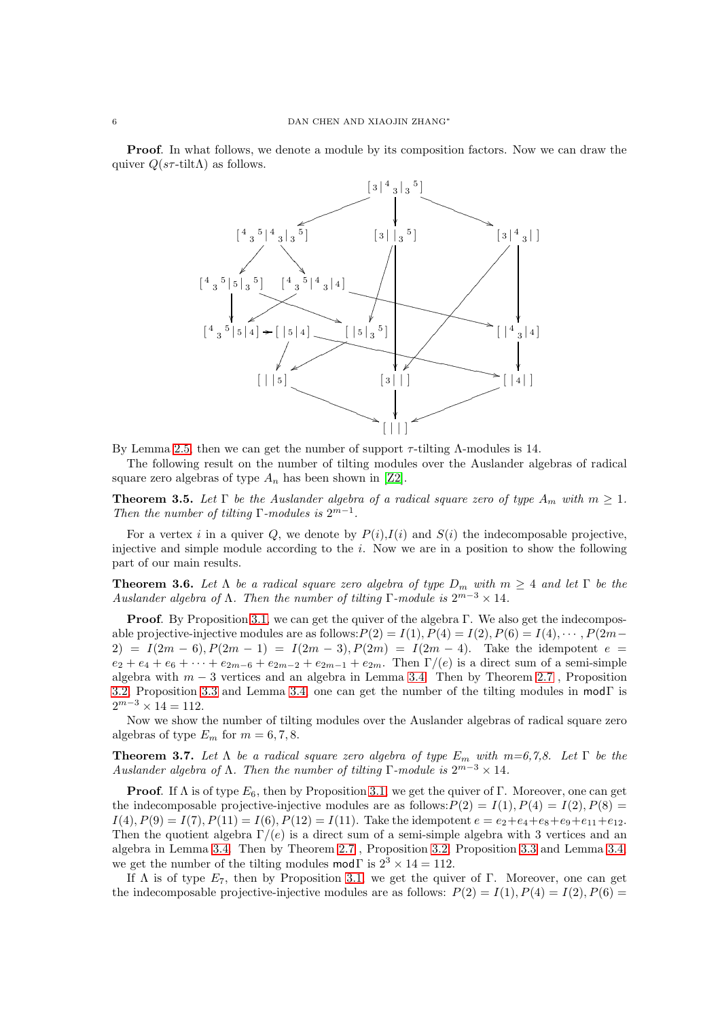Proof. In what follows, we denote a module by its composition factors. Now we can draw the quiver  $Q(s\tau\text{-tilt}\Lambda)$  as follows.



By Lemma [2.5,](#page-1-1) then we can get the number of support  $\tau$ -tilting  $\Lambda$ -modules is 14.

The following result on the number of tilting modules over the Auslander algebras of radical square zero algebras of type  $A_n$  has been shown in [\[Z2\]](#page-9-0).

**Theorem 3.5.** Let  $\Gamma$  be the Auslander algebra of a radical square zero of type  $A_m$  with  $m \geq 1$ . *Then the number of tilting*  $\Gamma$ -modules is  $2^{m-1}$ *.* 

For a vertex i in a quiver Q, we denote by  $P(i)$ ,  $I(i)$  and  $S(i)$  the indecomposable projective, injective and simple module according to the  $i$ . Now we are in a position to show the following part of our main results.

**Theorem 3.6.** Let  $\Lambda$  be a radical square zero algebra of type  $D_m$  with  $m \geq 4$  and let  $\Gamma$  be the *Auslander algebra of*  $\Lambda$ . Then the number of tilting  $\Gamma$ -module is  $2^{m-3} \times 14$ .

Proof. By Proposition 3.1, we can get the quiver of the algebra Γ. We also get the indecomposable projective-injective modules are as follows:  $P(2) = I(1)$ ,  $P(4) = I(2)$ ,  $P(6) = I(4)$ ,  $\cdots$ ,  $P(2m-$ 2) =  $I(2m - 6), P(2m - 1) = I(2m - 3), P(2m) = I(2m - 4).$  Take the idempotent  $e =$  $e_2 + e_4 + e_6 + \cdots + e_{2m-6} + e_{2m-2} + e_{2m-1} + e_{2m}$ . Then  $\Gamma/(e)$  is a direct sum of a semi-simple algebra with  $m-3$  vertices and an algebra in Lemma [3.4.](#page-4-0) Then by Theorem [2.7](#page-2-1) , Proposition [3.2,](#page-3-0) Proposition [3.3](#page-4-1) and Lemma [3.4,](#page-4-0) one can get the number of the tilting modules in mod $\Gamma$  is  $2^{m-3} \times 14 = 112.$ 

Now we show the number of tilting modules over the Auslander algebras of radical square zero algebras of type  $E_m$  for  $m = 6, 7, 8$ .

**Theorem 3.7.** Let  $\Lambda$  be a radical square zero algebra of type  $E_m$  with  $m=6,7,8$ . Let  $\Gamma$  be the *Auslander algebra of*  $\Lambda$ . Then the number of tilting  $\Gamma$ -module is  $2^{m-3} \times 14$ .

**Proof.** If  $\Lambda$  is of type  $E_6$ , then by Proposition 3.1, we get the quiver of Γ. Moreover, one can get the indecomposable projective-injective modules are as follows:  $P(2) = I(1), P(4) = I(2), P(8) =$  $I(4), P(9) = I(7), P(11) = I(6), P(12) = I(11).$  Take the idempotent  $e = e_2 + e_4 + e_8 + e_9 + e_{11} + e_{12}.$ Then the quotient algebra  $\Gamma/(e)$  is a direct sum of a semi-simple algebra with 3 vertices and an algebra in Lemma [3.4.](#page-4-0) Then by Theorem [2.7](#page-2-1) , Proposition [3.2,](#page-3-0) Proposition [3.3](#page-4-1) and Lemma [3.4,](#page-4-0) we get the number of the tilting modules mod $\Gamma$  is  $2^3 \times 14 = 112$ .

If  $\Lambda$  is of type  $E_7$ , then by Proposition 3.1, we get the quiver of Γ. Moreover, one can get the indecomposable projective-injective modules are as follows:  $P(2) = I(1), P(4) = I(2), P(6) =$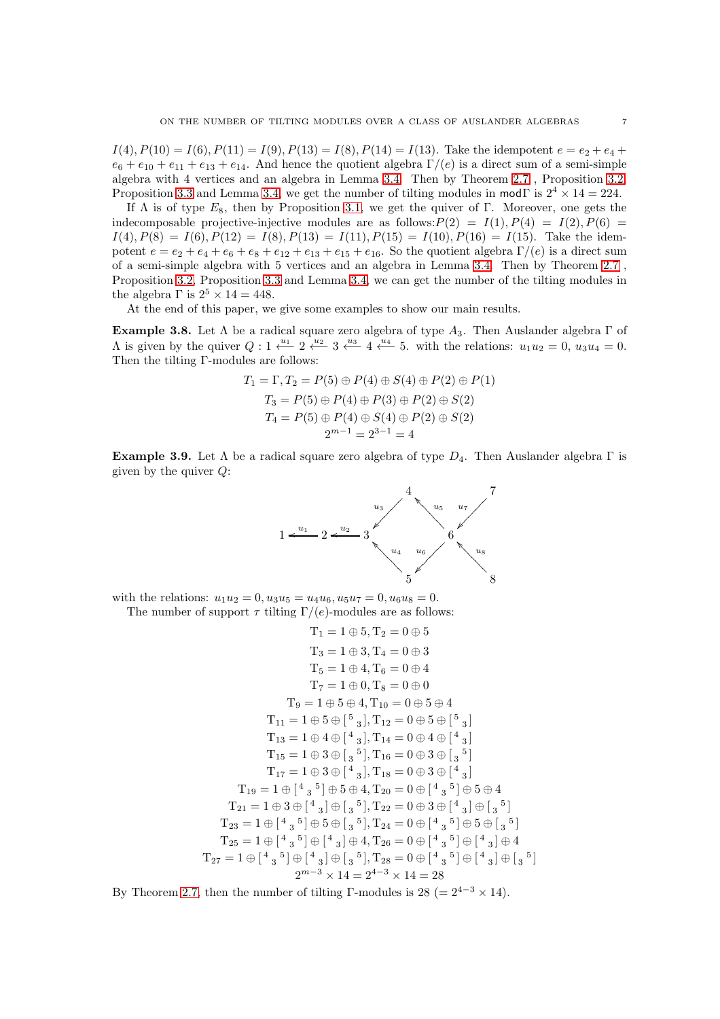$I(4), P(10) = I(6), P(11) = I(9), P(13) = I(8), P(14) = I(13)$ . Take the idempotent  $e = e_2 + e_4 +$  $e_6 + e_{10} + e_{11} + e_{13} + e_{14}$ . And hence the quotient algebra  $\Gamma/(e)$  is a direct sum of a semi-simple algebra with 4 vertices and an algebra in Lemma [3.4.](#page-4-0) Then by Theorem [2.7](#page-2-1) , Proposition [3.2,](#page-3-0) Proposition [3.3](#page-4-1) and Lemma [3.4,](#page-4-0) we get the number of tilting modules in modΓ is  $2^4 \times 14 = 224$ .

If  $\Lambda$  is of type  $E_8$ , then by Proposition 3.1, we get the quiver of Γ. Moreover, one gets the indecomposable projective-injective modules are as follows:  $P(2) = I(1), P(4) = I(2), P(6) =$  $I(4), P(8) = I(6), P(12) = I(8), P(13) = I(11), P(15) = I(10), P(16) = I(15)$ . Take the idempotent  $e = e_2 + e_4 + e_6 + e_8 + e_{12} + e_{13} + e_{15} + e_{16}$ . So the quotient algebra  $\Gamma/(e)$  is a direct sum of a semi-simple algebra with 5 vertices and an algebra in Lemma [3.4.](#page-4-0) Then by Theorem [2.7](#page-2-1) , Proposition [3.2,](#page-3-0) Proposition [3.3](#page-4-1) and Lemma [3.4,](#page-4-0) we can get the number of the tilting modules in the algebra  $\Gamma$  is  $2^5 \times 14 = 448$ .

At the end of this paper, we give some examples to show our main results.

**Example 3.8.** Let  $\Lambda$  be a radical square zero algebra of type  $A_3$ . Then Auslander algebra  $\Gamma$  of A is given by the quiver  $Q: 1 \stackrel{u_1}{\longleftarrow} 2 \stackrel{u_2}{\longleftarrow} 3 \stackrel{u_3}{\longleftarrow} 4 \stackrel{u_4}{\longleftarrow} 5$ . with the relations:  $u_1u_2 = 0$ ,  $u_3u_4 = 0$ . Then the tilting Γ-modules are follows:

$$
T_1 = \Gamma, T_2 = P(5) \oplus P(4) \oplus S(4) \oplus P(2) \oplus P(1)
$$
  
\n
$$
T_3 = P(5) \oplus P(4) \oplus P(3) \oplus P(2) \oplus S(2)
$$
  
\n
$$
T_4 = P(5) \oplus P(4) \oplus S(4) \oplus P(2) \oplus S(2)
$$
  
\n
$$
2^{m-1} = 2^{3-1} = 4
$$

**Example 3.9.** Let  $\Lambda$  be a radical square zero algebra of type  $D_4$ . Then Auslander algebra  $\Gamma$  is given by the quiver  $Q$ :



with the relations:  $u_1u_2 = 0, u_3u_5 = u_4u_6, u_5u_7 = 0, u_6u_8 = 0.$ The number of support  $\tau$  tilting  $\Gamma/(e)$ -modules are as follows:

$$
T_1 = 1 \oplus 5, T_2 = 0 \oplus 5
$$
  
\n
$$
T_3 = 1 \oplus 3, T_4 = 0 \oplus 3
$$
  
\n
$$
T_5 = 1 \oplus 4, T_6 = 0 \oplus 4
$$
  
\n
$$
T_7 = 1 \oplus 0, T_8 = 0 \oplus 0
$$
  
\n
$$
T_9 = 1 \oplus 5 \oplus 4, T_{10} = 0 \oplus 5 \oplus 4
$$
  
\n
$$
T_{11} = 1 \oplus 5 \oplus \begin{bmatrix} 5 \\ 3 \end{bmatrix}, T_{12} = 0 \oplus 5 \oplus \begin{bmatrix} 5 \\ 3 \end{bmatrix}
$$
  
\n
$$
T_{13} = 1 \oplus 4 \oplus \begin{bmatrix} 4 \\ 3 \end{bmatrix}, T_{14} = 0 \oplus 4 \oplus \begin{bmatrix} 4 \\ 3 \end{bmatrix}
$$
  
\n
$$
T_{15} = 1 \oplus 3 \oplus \begin{bmatrix} 4 \\ 3 \end{bmatrix}, T_{16} = 0 \oplus 3 \oplus \begin{bmatrix} 4 \\ 3 \end{bmatrix}
$$
  
\n
$$
T_{17} = 1 \oplus 3 \oplus \begin{bmatrix} 4 \\ 3 \end{bmatrix}, T_{18} = 0 \oplus 3 \oplus \begin{bmatrix} 4 \\ 3 \end{bmatrix}
$$
  
\n
$$
T_{19} = 1 \oplus \begin{bmatrix} 4 \\ 3 \end{bmatrix} \oplus 5 \oplus 4, T_{20} = 0 \oplus \begin{bmatrix} 4 \\ 3 \end{bmatrix} \oplus 5 \oplus 4
$$
  
\n
$$
T_{21} = 1 \oplus 3 \oplus \begin{bmatrix} 4 \\ 3 \end{bmatrix} \oplus 5 \oplus \begin{bmatrix} 5 \\ 3 \end{bmatrix}, T_{22} = 0 \oplus 3 \oplus \begin{bmatrix} 4 \\ 3 \end{bmatrix} \oplus 5 \oplus \begin{bmatrix} 5 \\ 3 \end{bmatrix}
$$
  
\n
$$
T_{23} = 1 \oplus \begin{bmatrix} 4 \\ 3 \end{bmatrix} \oplus 5 \oplus \begin{bmatrix} 3 \\ 5 \
$$

By Theorem [2.7,](#page-2-1) then the number of tilting Γ-modules is 28 (=  $2^{4-3} \times 14$ ).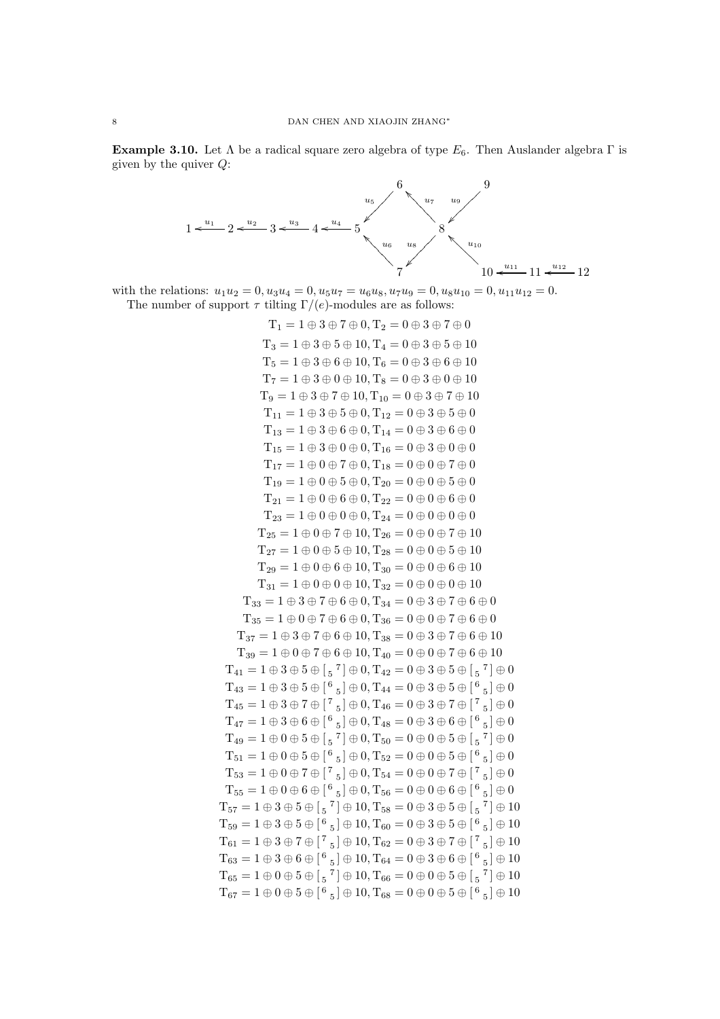**Example 3.10.** Let  $\Lambda$  be a radical square zero algebra of type  $E_6$ . Then Auslander algebra  $\Gamma$  is given by the quiver  $Q$ :



with the relations:  $u_1u_2 = 0$ ,  $u_3u_4 = 0$ ,  $u_5u_7 = u_6u_8$ ,  $u_7u_9 = 0$ ,  $u_8u_{10} = 0$ ,  $u_{11}u_{12} = 0$ . The number of support  $\tau$  tilting  $\Gamma/(e)$ -modules are as follows:

> $T_1 = 1 \oplus 3 \oplus 7 \oplus 0, T_2 = 0 \oplus 3 \oplus 7 \oplus 0$  $T_3 = 1 \oplus 3 \oplus 5 \oplus 10$ ,  $T_4 = 0 \oplus 3 \oplus 5 \oplus 10$  $T_5 = 1 \oplus 3 \oplus 6 \oplus 10, T_6 = 0 \oplus 3 \oplus 6 \oplus 10$  $T_7 = 1 \oplus 3 \oplus 0 \oplus 10$ ,  $T_8 = 0 \oplus 3 \oplus 0 \oplus 10$  $T_9 = 1 \oplus 3 \oplus 7 \oplus 10, T_{10} = 0 \oplus 3 \oplus 7 \oplus 10$  $T_{11} = 1 \oplus 3 \oplus 5 \oplus 0, T_{12} = 0 \oplus 3 \oplus 5 \oplus 0$  $T_{13} = 1 \oplus 3 \oplus 6 \oplus 0, T_{14} = 0 \oplus 3 \oplus 6 \oplus 0$  $T_{15} = 1 \oplus 3 \oplus 0 \oplus 0, T_{16} = 0 \oplus 3 \oplus 0 \oplus 0$  $T_{17} = 1 \oplus 0 \oplus 7 \oplus 0, T_{18} = 0 \oplus 0 \oplus 7 \oplus 0$  $T_{19} = 1 \oplus 0 \oplus 5 \oplus 0, T_{20} = 0 \oplus 0 \oplus 5 \oplus 0$  $T_{21} = 1 \oplus 0 \oplus 6 \oplus 0, T_{22} = 0 \oplus 0 \oplus 6 \oplus 0$  $T_{23} = 1 \oplus 0 \oplus 0 \oplus 0, T_{24} = 0 \oplus 0 \oplus 0 \oplus 0$  $T_{25} = 1 \oplus 0 \oplus 7 \oplus 10, T_{26} = 0 \oplus 0 \oplus 7 \oplus 10$  $T_{27} = 1 \oplus 0 \oplus 5 \oplus 10$ ,  $T_{28} = 0 \oplus 0 \oplus 5 \oplus 10$  $T_{29} = 1 \oplus 0 \oplus 6 \oplus 10$ ,  $T_{30} = 0 \oplus 0 \oplus 6 \oplus 10$  $T_{31} = 1 \oplus 0 \oplus 0 \oplus 10, T_{32} = 0 \oplus 0 \oplus 0 \oplus 10$  $T_{33} = 1 \oplus 3 \oplus 7 \oplus 6 \oplus 0, T_{34} = 0 \oplus 3 \oplus 7 \oplus 6 \oplus 0$  $T_{35} = 1 \oplus 0 \oplus 7 \oplus 6 \oplus 0, T_{36} = 0 \oplus 0 \oplus 7 \oplus 6 \oplus 0$  $T_{37} = 1 \oplus 3 \oplus 7 \oplus 6 \oplus 10$ ,  $T_{38} = 0 \oplus 3 \oplus 7 \oplus 6 \oplus 10$  $T_{39} = 1 \oplus 0 \oplus 7 \oplus 6 \oplus 10, T_{40} = 0 \oplus 0 \oplus 7 \oplus 6 \oplus 10$  $T_{41} = 1 \oplus 3 \oplus 5 \oplus$   $\begin{bmatrix} 5 & 7 \end{bmatrix} \oplus 0$ ,  $T_{42} = 0 \oplus 3 \oplus 5 \oplus$   $\begin{bmatrix} 5 & 7 \end{bmatrix} \oplus 0$  $T_{43} = 1 \oplus 3 \oplus 5 \oplus [^6\, {}_5] \oplus 0, T_{44} = 0 \oplus 3 \oplus 5 \oplus [^6\, {}_5] \oplus 0$  $T_{45} = 1 \oplus 3 \oplus 7 \oplus [7_{5}] \oplus 0, T_{46} = 0 \oplus 3 \oplus 7 \oplus [7_{5}] \oplus 0$  $T_{47}=1\oplus 3\oplus 6\oplus \left[\begin{smallmatrix} 6&\&5 \end{smallmatrix}\right]\oplus 0,T_{48}=0\oplus 3\oplus 6\oplus \left[\begin{smallmatrix} 6&\&5 \end{smallmatrix}\right]\oplus 0$  $T_{49} = 1 \oplus 0 \oplus 5 \oplus$   $\begin{bmatrix} 5 & 7 \end{bmatrix} \oplus 0$ ,  $T_{50} = 0 \oplus 0 \oplus 5 \oplus$   $\begin{bmatrix} 5 & 7 \end{bmatrix} \oplus 0$  $T_{51} = 1 \oplus 0 \oplus 5 \oplus [^6\, {}_5] \oplus 0, T_{52} = 0 \oplus 0 \oplus 5 \oplus [^6\, {}_5] \oplus 0$  $T_{53} = 1 \oplus 0 \oplus 7 \oplus [7_{5}] \oplus 0, T_{54} = 0 \oplus 0 \oplus 7 \oplus [7_{5}] \oplus 0$  $T_{55} = 1 \oplus 0 \oplus 6 \oplus [$ <sup>6</sup><sub>5</sub> $] \oplus 0$ ,  $T_{56} = 0 \oplus 0 \oplus 6 \oplus [$ <sup>6</sup><sub>5</sub> $] \oplus 0$  $T_{57} = 1 \oplus 3 \oplus 5 \oplus$   $\begin{bmatrix} 5 & 7 \end{bmatrix} \oplus 10$ ,  $T_{58} = 0 \oplus 3 \oplus 5 \oplus$   $\begin{bmatrix} 5 & 7 \end{bmatrix} \oplus 10$  $T_{59} = 1 \oplus 3 \oplus 5 \oplus [^6\, {}_5] \oplus 10, T_{60} = 0 \oplus 3 \oplus 5 \oplus [^6\, {}_5] \oplus 10$  $T_{61} = 1 \oplus 3 \oplus 7 \oplus [7_{5}] \oplus 10, T_{62} = 0 \oplus 3 \oplus 7 \oplus [7_{5}] \oplus 10$  $T_{63} = 1 \oplus 3 \oplus 6 \oplus [^6\, {}_5] \oplus 10, T_{64} = 0 \oplus 3 \oplus 6 \oplus [^6\, {}_5] \oplus 10$  $T_{65} = 1 \oplus 0 \oplus 5 \oplus$   $\begin{bmatrix} 5 & 7 \end{bmatrix} \oplus 10$ ,  $T_{66} = 0 \oplus 0 \oplus 5 \oplus$   $\begin{bmatrix} 5 & 7 \end{bmatrix} \oplus 10$  $T_{67} = 1 \oplus 0 \oplus 5 \oplus [$ <sup>6</sup>  $_5] \oplus 10$ ,  $T_{68} = 0 \oplus 0 \oplus 5 \oplus [$ <sup>6</sup>  $_5] \oplus 10$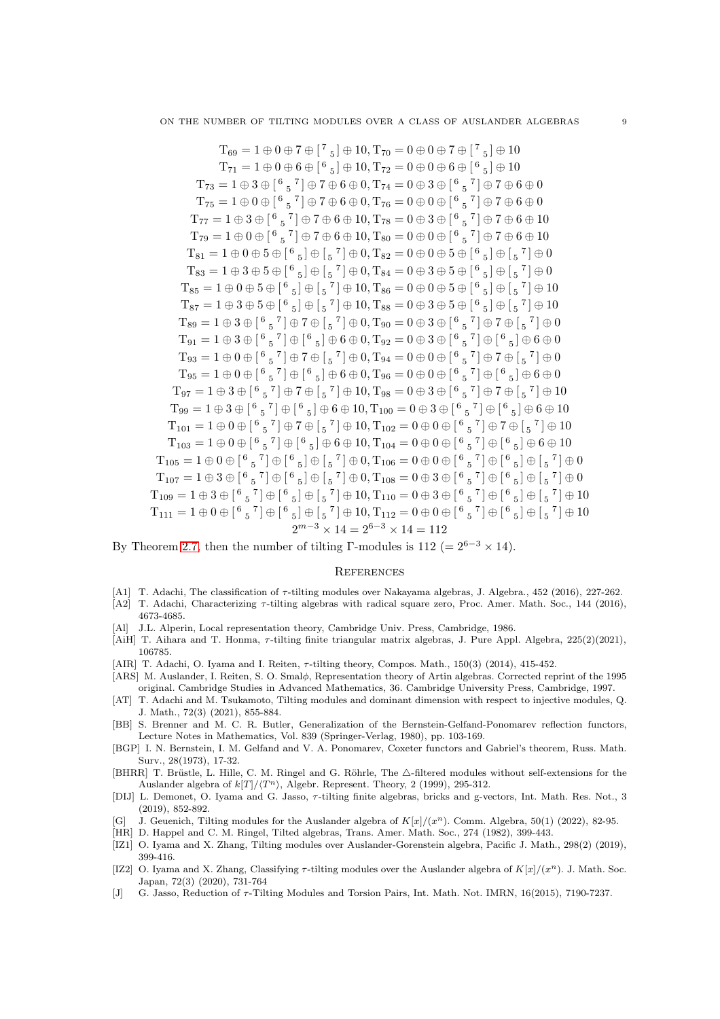T<sub>69</sub> = 1 
$$
\oplus
$$
 0  $\oplus$  7  $\oplus$  [7<sub>5</sub>]  $\oplus$  10, T<sub>70</sub> = 0  $\oplus$  0  $\oplus$  7  $\oplus$  [7<sub>5</sub>]  $\oplus$  10  
\nT<sub>73</sub> = 1  $\oplus$  3  $\oplus$  [6<sub>5</sub>7]  $\oplus$  7  $\oplus$  6  $\oplus$  0, T<sub>74</sub> = 0  $\oplus$  3  $\oplus$  [6<sub>5</sub>7]  $\oplus$  7  $\oplus$  6  $\oplus$  0, T<sub>74</sub> = 0  $\oplus$  3  $\oplus$  [6<sub>5</sub>7]  $\oplus$  7  $\oplus$  6  $\oplus$  0, T<sub>76</sub> = 0  $\oplus$  0  $\oplus$  [6<sub>5</sub>7]  $\oplus$  7  $\oplus$  6  $\oplus$  0, T<sub>78</sub> = 0  $\oplus$  3  $\oplus$  [6<sub>5</sub>7]  $\oplus$  7  $\oplus$  6  $\oplus$  10, T<sub>80</sub> = 0  $\oplus$  0  $\oplus$  [6<sub>5</sub>7]  $\oplus$  7  $\oplus$  6  $\oplus$  10  
\nT<sub>77</sub> = 1  $\oplus$  3  $\oplus$  [6<sub>5</sub>7]  $\oplus$  7  $\oplus$  6  $\oplus$  10, T<sub>80</sub> = 0  $\oplus$  3  $\oplus$  [6<sub>5</sub>7]  $\oplus$  7  $\oplus$  6  $\oplus$  10  
\nT<sub>81</sub> = 1  $\oplus$  0  $\oplus$  5  $\oplus$  [6<sub>5</sub>]  $\oplus$ 

By Theorem [2.7,](#page-2-1) then the number of tilting Γ-modules is 112 (=  $2^{6-3} \times 14$ ).

 $T_1$ 

#### **REFERENCES**

- <span id="page-8-8"></span>[A1] T. Adachi, The classification of  $\tau$ -tilting modules over Nakayama algebras, J. Algebra., 452 (2016), 227-262.
- <span id="page-8-9"></span>[A2] T. Adachi, Characterizing τ-tilting algebras with radical square zero, Proc. Amer. Math. Soc., 144 (2016), 4673-4685.
- <span id="page-8-15"></span>[Al] J.L. Alperin, Local representation theory, Cambridge Univ. Press, Cambridge, 1986.
- <span id="page-8-11"></span>[AiH] T. Aihara and T. Honma, τ-tilting finite triangular matrix algebras, J. Pure Appl. Algebra, 225(2)(2021), 106785.
- <span id="page-8-7"></span>[AIR] T. Adachi, O. Iyama and I. Reiten, τ-tilting theory, Compos. Math., 150(3) (2014), 415-452.
- <span id="page-8-13"></span>[ARS] M. Auslander, I. Reiten, S. O. Smal $\phi$ , Representation theory of Artin algebras. Corrected reprint of the 1995 original. Cambridge Studies in Advanced Mathematics, 36. Cambridge University Press, Cambridge, 1997.
- <span id="page-8-6"></span>[AT] T. Adachi and M. Tsukamoto, Tilting modules and dominant dimension with respect to injective modules, Q. J. Math., 72(3) (2021), 855-884.
- <span id="page-8-1"></span>[BB] S. Brenner and M. C. R. Butler, Generalization of the Bernstein-Gelfand-Ponomarev reflection functors, Lecture Notes in Mathematics, Vol. 839 (Springer-Verlag, 1980), pp. 103-169.
- <span id="page-8-0"></span>[BGP] I. N. Bernstein, I. M. Gelfand and V. A. Ponomarev, Coxeter functors and Gabriel's theorem, Russ. Math. Surv., 28(1973), 17-32.
- <span id="page-8-3"></span>[BHRR] T. Brüstle, L. Hille, C. M. Ringel and G. Röhrle, The  $\triangle$ -filtered modules without self-extensions for the Auslander algebra of  $k[T]/\langle T^n \rangle$ , Algebr. Represent. Theory, 2 (1999), 295-312.
- <span id="page-8-12"></span>[DIJ] L. Demonet, O. Iyama and G. Jasso, τ-tilting finite algebras, bricks and g-vectors, Int. Math. Res. Not., 3 (2019), 852-892.
- <span id="page-8-5"></span>[G] J. Geuenich, Tilting modules for the Auslander algebra of  $K[x]/(x^n)$ . Comm. Algebra, 50(1) (2022), 82-95.
- <span id="page-8-2"></span>[HR] D. Happel and C. M. Ringel, Tilted algebras, Trans. Amer. Math. Soc., 274 (1982), 399-443.
- <span id="page-8-4"></span>[IZ1] O. Iyama and X. Zhang, Tilting modules over Auslander-Gorenstein algebra, Pacific J. Math., 298(2) (2019), 399-416.
- <span id="page-8-10"></span>[IZ2] O. Iyama and X. Zhang, Classifying  $\tau$ -tilting modules over the Auslander algebra of  $K[x]/(x^n)$ . J. Math. Soc. Japan, 72(3) (2020), 731-764
- <span id="page-8-14"></span>[J] G. Jasso, Reduction of τ-Tilting Modules and Torsion Pairs, Int. Math. Not. IMRN, 16(2015), 7190-7237.